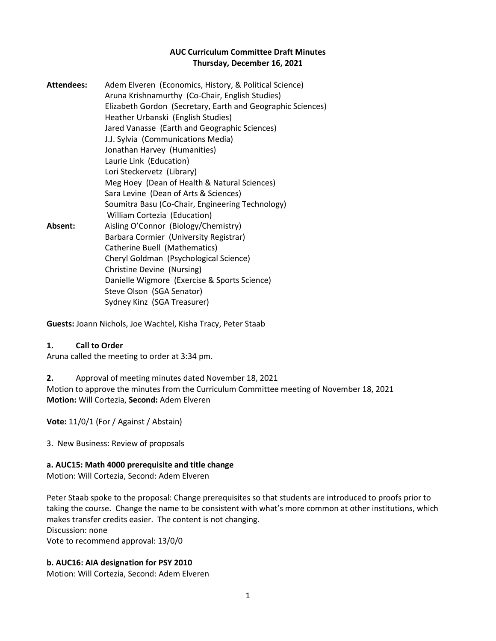### **AUC Curriculum Committee Draft Minutes Thursday, December 16, 2021**

| <b>Attendees:</b> | Adem Elveren (Economics, History, & Political Science)<br>Aruna Krishnamurthy (Co-Chair, English Studies) |
|-------------------|-----------------------------------------------------------------------------------------------------------|
|                   | Elizabeth Gordon (Secretary, Earth and Geographic Sciences)<br>Heather Urbanski (English Studies)         |
|                   | Jared Vanasse (Earth and Geographic Sciences)                                                             |
|                   | J.J. Sylvia (Communications Media)                                                                        |
|                   | Jonathan Harvey (Humanities)                                                                              |
|                   | Laurie Link (Education)                                                                                   |
|                   | Lori Steckervetz (Library)                                                                                |
|                   | Meg Hoey (Dean of Health & Natural Sciences)                                                              |
|                   | Sara Levine (Dean of Arts & Sciences)                                                                     |
|                   | Soumitra Basu (Co-Chair, Engineering Technology)                                                          |
|                   | William Cortezia (Education)                                                                              |
| Absent:           | Aisling O'Connor (Biology/Chemistry)                                                                      |
|                   | Barbara Cormier (University Registrar)                                                                    |
|                   | Catherine Buell (Mathematics)                                                                             |
|                   | Cheryl Goldman (Psychological Science)                                                                    |
|                   | Christine Devine (Nursing)                                                                                |
|                   | Danielle Wigmore (Exercise & Sports Science)                                                              |
|                   | Steve Olson (SGA Senator)                                                                                 |
|                   | Sydney Kinz (SGA Treasurer)                                                                               |

**Guests:** Joann Nichols, Joe Wachtel, Kisha Tracy, Peter Staab

### **1. Call to Order**

Aruna called the meeting to order at 3:34 pm.

**2.** Approval of meeting minutes dated November 18, 2021 Motion to approve the minutes from the Curriculum Committee meeting of November 18, 2021 **Motion:** Will Cortezia, **Second:** Adem Elveren

**Vote:** 11/0/1 (For / Against / Abstain)

3. New Business: Review of proposals

### **a. AUC15: Math 4000 prerequisite and title change**

Motion: Will Cortezia, Second: Adem Elveren

Peter Staab spoke to the proposal: Change prerequisites so that students are introduced to proofs prior to taking the course. Change the name to be consistent with what's more common at other institutions, which makes transfer credits easier. The content is not changing. Discussion: none Vote to recommend approval: 13/0/0

# **b. AUC16: AIA designation for PSY 2010**

Motion: Will Cortezia, Second: Adem Elveren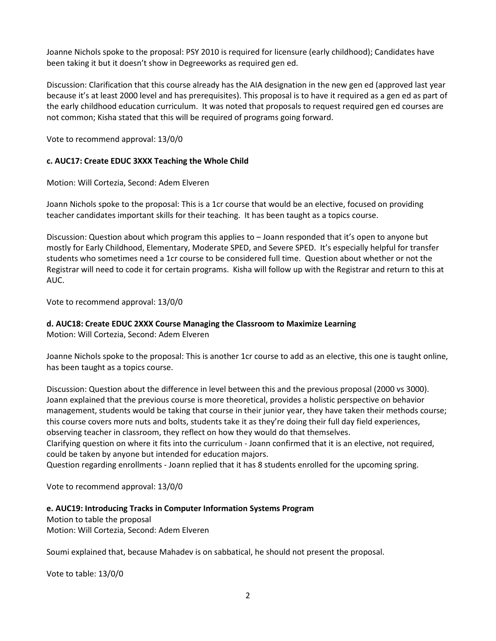Joanne Nichols spoke to the proposal: PSY 2010 is required for licensure (early childhood); Candidates have been taking it but it doesn't show in Degreeworks as required gen ed.

Discussion: Clarification that this course already has the AIA designation in the new gen ed (approved last year because it's at least 2000 level and has prerequisites). This proposal is to have it required as a gen ed as part of the early childhood education curriculum. It was noted that proposals to request required gen ed courses are not common; Kisha stated that this will be required of programs going forward.

Vote to recommend approval: 13/0/0

#### **c. AUC17: Create EDUC 3XXX Teaching the Whole Child**

Motion: Will Cortezia, Second: Adem Elveren

Joann Nichols spoke to the proposal: This is a 1cr course that would be an elective, focused on providing teacher candidates important skills for their teaching. It has been taught as a topics course.

Discussion: Question about which program this applies to – Joann responded that it's open to anyone but mostly for Early Childhood, Elementary, Moderate SPED, and Severe SPED. It's especially helpful for transfer students who sometimes need a 1cr course to be considered full time. Question about whether or not the Registrar will need to code it for certain programs. Kisha will follow up with the Registrar and return to this at AUC.

Vote to recommend approval: 13/0/0

### **d. AUC18: Create EDUC 2XXX Course Managing the Classroom to Maximize Learning**

Motion: Will Cortezia, Second: Adem Elveren

Joanne Nichols spoke to the proposal: This is another 1cr course to add as an elective, this one is taught online, has been taught as a topics course.

Discussion: Question about the difference in level between this and the previous proposal (2000 vs 3000). Joann explained that the previous course is more theoretical, provides a holistic perspective on behavior management, students would be taking that course in their junior year, they have taken their methods course; this course covers more nuts and bolts, students take it as they're doing their full day field experiences, observing teacher in classroom, they reflect on how they would do that themselves.

Clarifying question on where it fits into the curriculum - Joann confirmed that it is an elective, not required, could be taken by anyone but intended for education majors.

Question regarding enrollments - Joann replied that it has 8 students enrolled for the upcoming spring.

Vote to recommend approval: 13/0/0

#### **e. AUC19: Introducing Tracks in Computer Information Systems Program**

Motion to table the proposal Motion: Will Cortezia, Second: Adem Elveren

Soumi explained that, because Mahadev is on sabbatical, he should not present the proposal.

Vote to table: 13/0/0